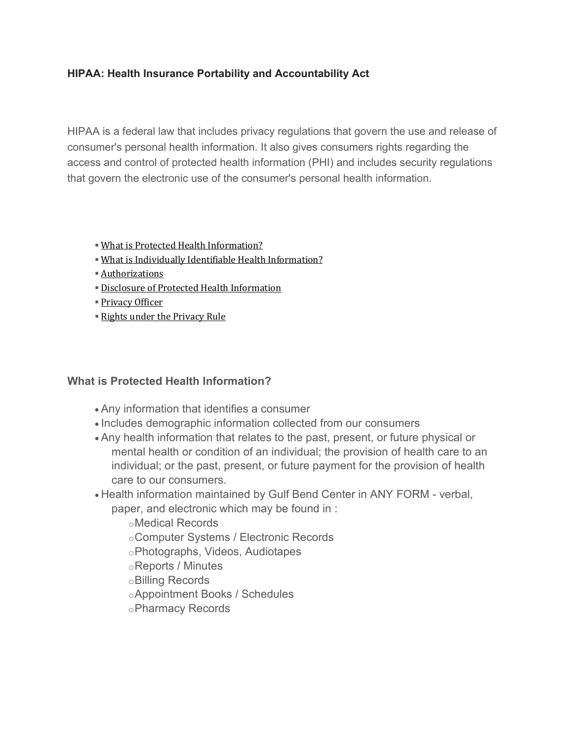## **HIPAA: Health Insurance Portability and Accountability Act**

HIPAA is a federal law that includes privacy regulations that govern the use and release of consumer's personal health information. It also gives consumers rights regarding the access and control of protected health information (PHI) and includes security regulations that govern the electronic use of the consumer's personal health information.

- [What is Protected Health Information?](https://www.gulfbend.org/poc/view_doc.php?id=12144&type=doc)
- [What is Individually Identifiable Health Information?](https://www.gulfbend.org/poc/view_doc.php?id=12145&type=doc)
- [Authorizations](https://www.gulfbend.org/poc/view_doc.php?id=11431&type=doc)
- **E[Disclosure of Protected Health Information](https://www.gulfbend.org/poc/view_doc.php?id=11429&type=doc)**
- [Privacy Officer](https://www.gulfbend.org/poc/view_doc.php?id=11432&type=doc)
- [Rights under the Privacy Rule](https://www.gulfbend.org/poc/view_doc.php?id=11428&type=doc)

### **What is Protected Health Information?**

- Any information that identifies a consumer
- Includes demographic information collected from our consumers
- Any health information that relates to the past, present, or future physical or mental health or condition of an individual; the provision of health care to an individual; or the past, present, or future payment for the provision of health care to our consumers.
- Health information maintained by Gulf Bend Center in ANY FORM verbal, paper, and electronic which may be found in :

oMedical Records

- oComputer Systems / Electronic Records
- oPhotographs, Videos, Audiotapes
- oReports / Minutes
- oBilling Records
- oAppointment Books / Schedules
- oPharmacy Records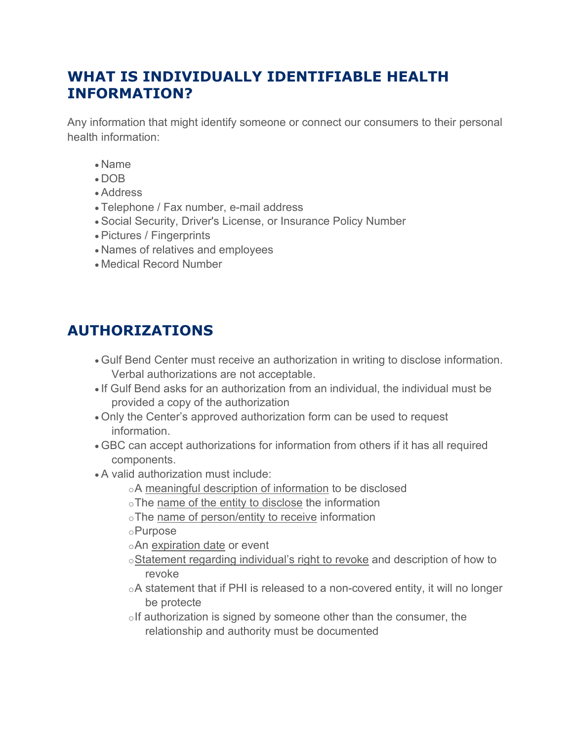# **WHAT IS INDIVIDUALLY IDENTIFIABLE HEALTH INFORMATION?**

Any information that might identify someone or connect our consumers to their personal health information:

- Name
- DOB
- Address
- Telephone / Fax number, e-mail address
- Social Security, Driver's License, or Insurance Policy Number
- Pictures / Fingerprints
- Names of relatives and employees
- Medical Record Number

# **AUTHORIZATIONS**

- Gulf Bend Center must receive an authorization in writing to disclose information. Verbal authorizations are not acceptable.
- If Gulf Bend asks for an authorization from an individual, the individual must be provided a copy of the authorization
- Only the Center's approved authorization form can be used to request information.
- GBC can accept authorizations for information from others if it has all required components.
- A valid authorization must include:
	- oA meaningful description of information to be disclosed
	- oThe name of the entity to disclose the information
	- oThe name of person/entity to receive information
	- oPurpose
	- oAn expiration date or event
	- oStatement regarding individual's right to revoke and description of how to revoke
	- oA statement that if PHI is released to a non-covered entity, it will no longer be protecte
	- $\circ$ If authorization is signed by someone other than the consumer, the relationship and authority must be documented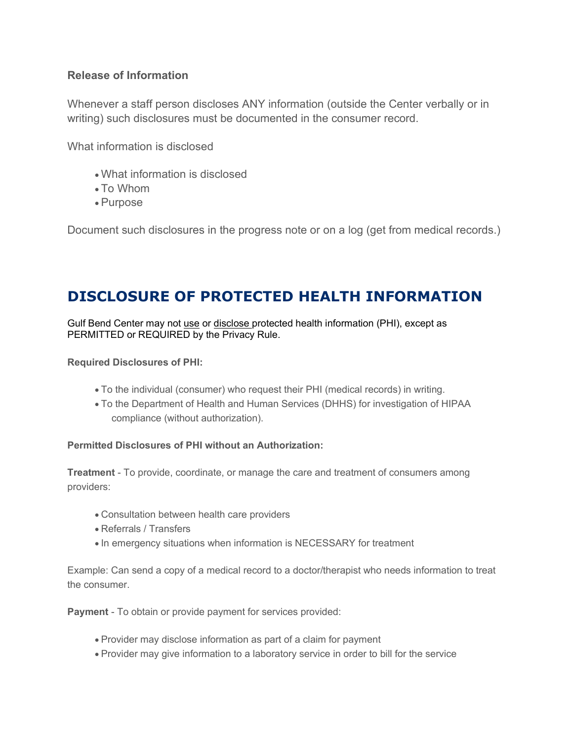## **Release of Information**

Whenever a staff person discloses ANY information (outside the Center verbally or in writing) such disclosures must be documented in the consumer record.

What information is disclosed

- What information is disclosed
- To Whom
- Purpose

Document such disclosures in the progress note or on a log (get from medical records.)

# **DISCLOSURE OF PROTECTED HEALTH INFORMATION**

Gulf Bend Center may not use or disclose protected health information (PHI), except as PERMITTED or REQUIRED by the Privacy Rule.

#### **Required Disclosures of PHI:**

- To the individual (consumer) who request their PHI (medical records) in writing.
- To the Department of Health and Human Services (DHHS) for investigation of HIPAA compliance (without authorization).

### **Permitted Disclosures of PHI without an Authorization:**

**Treatment** - To provide, coordinate, or manage the care and treatment of consumers among providers:

- Consultation between health care providers
- Referrals / Transfers
- In emergency situations when information is NECESSARY for treatment

Example: Can send a copy of a medical record to a doctor/therapist who needs information to treat the consumer.

**Payment** - To obtain or provide payment for services provided:

- Provider may disclose information as part of a claim for payment
- Provider may give information to a laboratory service in order to bill for the service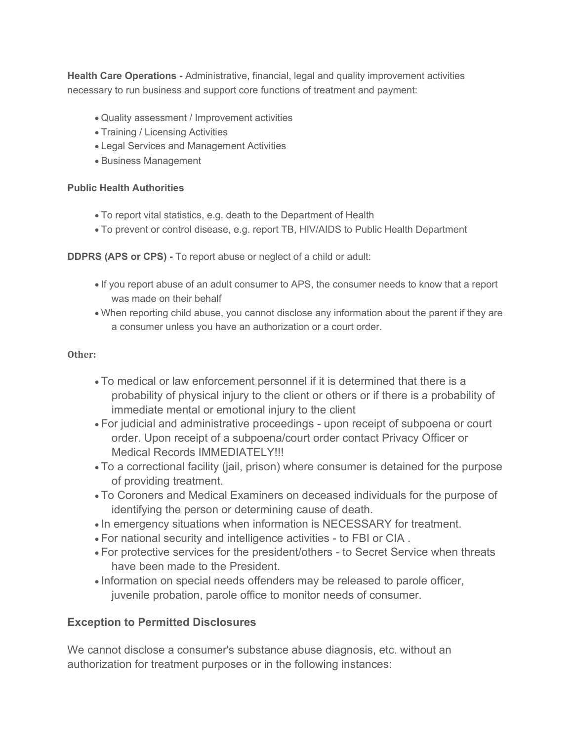**Health Care Operations -** Administrative, financial, legal and quality improvement activities necessary to run business and support core functions of treatment and payment:

- Quality assessment / Improvement activities
- Training / Licensing Activities
- Legal Services and Management Activities
- Business Management

#### **Public Health Authorities**

- To report vital statistics, e.g. death to the Department of Health
- To prevent or control disease, e.g. report TB, HIV/AIDS to Public Health Department

**DDPRS (APS or CPS) -** To report abuse or neglect of a child or adult:

- If you report abuse of an adult consumer to APS, the consumer needs to know that a report was made on their behalf
- When reporting child abuse, you cannot disclose any information about the parent if they are a consumer unless you have an authorization or a court order.

#### **Other:**

- To medical or law enforcement personnel if it is determined that there is a probability of physical injury to the client or others or if there is a probability of immediate mental or emotional injury to the client
- For judicial and administrative proceedings upon receipt of subpoena or court order. Upon receipt of a subpoena/court order contact Privacy Officer or Medical Records IMMEDIATELY!!!
- To a correctional facility (jail, prison) where consumer is detained for the purpose of providing treatment.
- To Coroners and Medical Examiners on deceased individuals for the purpose of identifying the person or determining cause of death.
- In emergency situations when information is NECESSARY for treatment.
- For national security and intelligence activities to FBI or CIA .
- For protective services for the president/others to Secret Service when threats have been made to the President.
- Information on special needs offenders may be released to parole officer, juvenile probation, parole office to monitor needs of consumer.

### **Exception to Permitted Disclosures**

We cannot disclose a consumer's substance abuse diagnosis, etc. without an authorization for treatment purposes or in the following instances: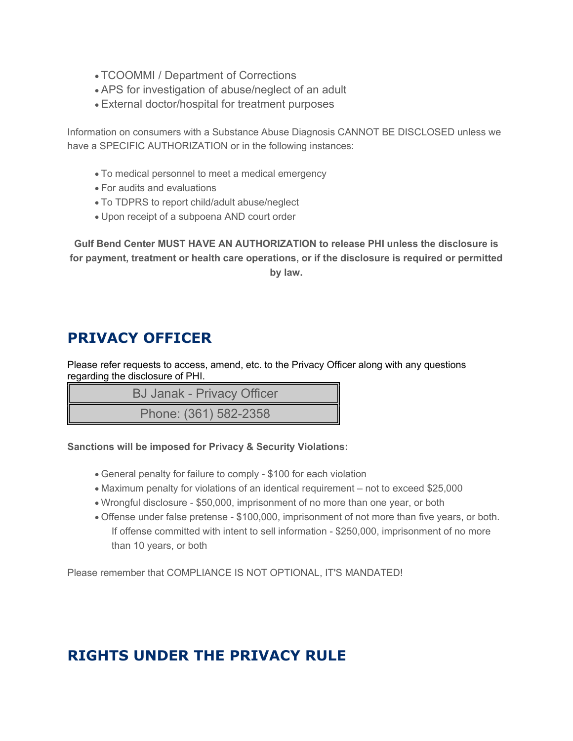- TCOOMMI / Department of Corrections
- APS for investigation of abuse/neglect of an adult
- External doctor/hospital for treatment purposes

Information on consumers with a Substance Abuse Diagnosis CANNOT BE DISCLOSED unless we have a SPECIFIC AUTHORIZATION or in the following instances:

- To medical personnel to meet a medical emergency
- For audits and evaluations
- To TDPRS to report child/adult abuse/neglect
- Upon receipt of a subpoena AND court order

**Gulf Bend Center MUST HAVE AN AUTHORIZATION to release PHI unless the disclosure is for payment, treatment or health care operations, or if the disclosure is required or permitted by law.**

# **PRIVACY OFFICER**

Please refer requests to access, amend, etc. to the Privacy Officer along with any questions regarding the disclosure of PHI.

BJ Janak - Privacy Officer

Phone: (361) 582-2358

### **Sanctions will be imposed for Privacy & Security Violations:**

- General penalty for failure to comply \$100 for each violation
- Maximum penalty for violations of an identical requirement not to exceed \$25,000
- Wrongful disclosure \$50,000, imprisonment of no more than one year, or both
- Offense under false pretense \$100,000, imprisonment of not more than five years, or both. If offense committed with intent to sell information - \$250,000, imprisonment of no more than 10 years, or both

Please remember that COMPLIANCE IS NOT OPTIONAL, IT'S MANDATED!

# **RIGHTS UNDER THE PRIVACY RULE**